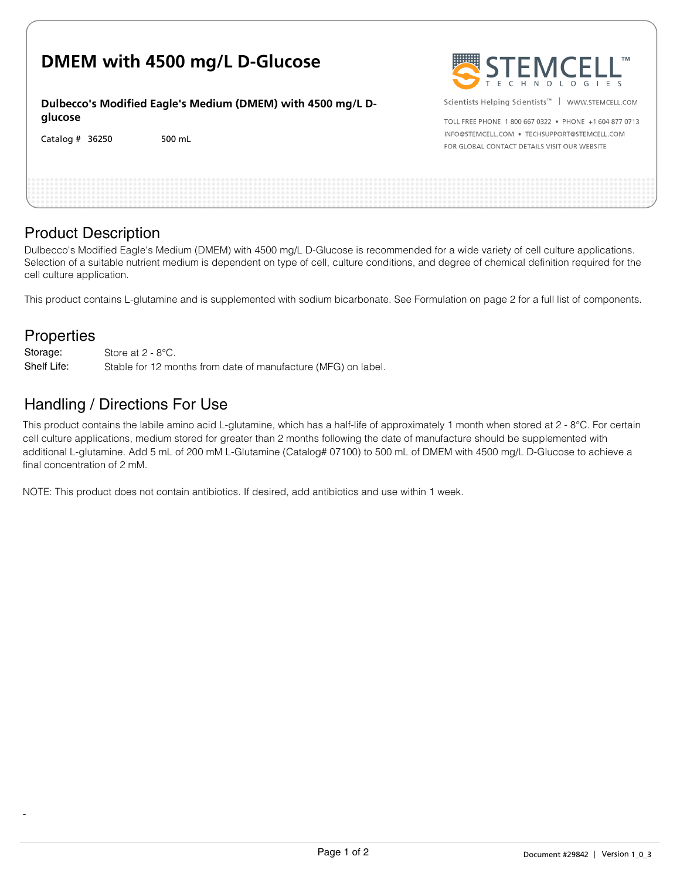| DMEM with 4500 mg/L D-Glucose                               | STEMCELL"                                                     |
|-------------------------------------------------------------|---------------------------------------------------------------|
| Dulbecco's Modified Eagle's Medium (DMEM) with 4500 mg/L D- | Scientists Helping Scientists <sup>™</sup>   WWW.STEMCELL.COM |
| glucose                                                     | TOLL FREE PHONE 1800 667 0322 • PHONE +1604 877 0713          |
| Catalog $#$ 36250                                           | INFO@STEMCELL.COM . TECHSUPPORT@STEMCELL.COM                  |
| 500 mL                                                      | FOR GLOBAL CONTACT DETAILS VISIT OUR WEBSITE                  |
|                                                             |                                                               |

## Product Description

Dulbecco's Modified Eagle's Medium (DMEM) with 4500 mg/L D-Glucose is recommended for a wide variety of cell culture applications. Selection of a suitable nutrient medium is dependent on type of cell, culture conditions, and degree of chemical definition required for the cell culture application.

This product contains L-glutamine and is supplemented with sodium bicarbonate. See Formulation on page 2 for a full list of components.

## **Properties**

-

Store at 2 - 8°C. Stable for 12 months from date of manufacture (MFG) on label. Storage: Shelf Life:

## Handling / Directions For Use

This product contains the labile amino acid L-glutamine, which has a half-life of approximately 1 month when stored at  $2 - 8^{\circ}$ C. For certain cell culture applications, medium stored for greater than 2 months following the date of manufacture should be supplemented with additional L-glutamine. Add 5 mL of 200 mM L-Glutamine (Catalog# 07100) to 500 mL of DMEM with 4500 mg/L D-Glucose to achieve a final concentration of 2 mM.

NOTE: This product does not contain antibiotics. If desired, add antibiotics and use within 1 week.